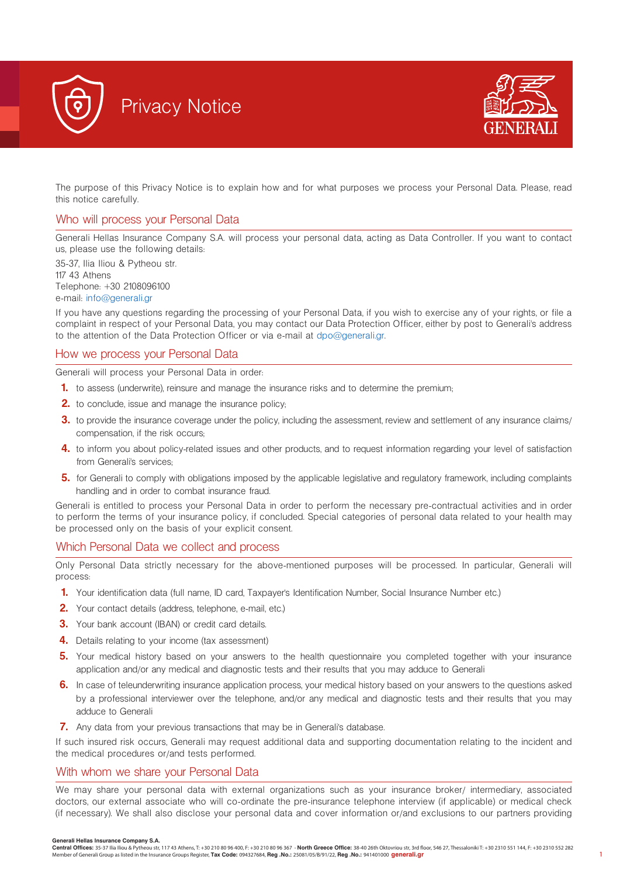



The purpose of this Privacy Notice is to explain how and for what purposes we process your Personal Data. Please, read this notice carefully.

# Who will process your Personal Data

Generali Hellas Insurance Company S.A. will process your personal data, acting as Data Controller. If you want to contact us, please use the following details:

35-37, Ilia Iliou & Pytheou str. 117 43 Athens Telephone: +30 2108096100 e-mail: info@generali.gr

If you have any questions regarding the processing of your Personal Data, if you wish to exercise any of your rights, or file a complaint in respect of your Personal Data, you may contact our Data Protection Officer, either by post to Generali's address to the attention of the Data Protection Officer or via e-mail at dpo@generali.gr.

# How we process your Personal Data

Generali will process your Personal Data in order:

- **1.** to assess (underwrite), reinsure and manage the insurance risks and to determine the premium;
- **2.** to conclude, issue and manage the insurance policy;
- **3.** to provide the insurance coverage under the policy, including the assessment, review and settlement of any insurance claims/ compensation, if the risk occurs;
- **4.** to inform you about policy-related issues and other products, and to request information regarding your level of satisfaction from Generali's services;
- **5.** for Generali to comply with obligations imposed by the applicable legislative and regulatory framework, including complaints handling and in order to combat insurance fraud.

Generali is entitled to process your Personal Data in order to perform the necessary pre-contractual activities and in order to perform the terms of your insurance policy, if concluded. Special categories of personal data related to your health may be processed only on the basis of your explicit consent.

### Which Personal Data we collect and process

Only Personal Data strictly necessary for the above-mentioned purposes will be processed. In particular, Generali will process:

- **1.** Your identification data (full name, ID card, Taxpayer's Identification Number, Social Insurance Number etc.)
- **2.** Your contact details (address, telephone, e-mail, etc.)
- **3.** Your bank account (IBAN) or credit card details.
- **4.** Details relating to your income (tax assessment)
- **5.** Your medical history based on your answers to the health questionnaire you completed together with your insurance application and/or any medical and diagnostic tests and their results that you may adduce to Generali
- **6.** In case of teleunderwriting insurance application process, your medical history based on your answers to the questions asked by a professional interviewer over the telephone, and/or any medical and diagnostic tests and their results that you may adduce to Generali
- **7.** Any data from your previous transactions that may be in Generali's database.

If such insured risk occurs, Generali may request additional data and supporting documentation relating to the incident and the medical procedures or/and tests performed.

### With whom we share your Personal Data

We may share your personal data with external organizations such as your insurance broker/ intermediary, associated doctors, our external associate who will co-ordinate the pre-insurance telephone interview (if applicable) or medical check (if necessary). We shall also disclose your personal data and cover information or/and exclusions to our partners providing

#### **Generali Hellas Insurance Company S.A.**